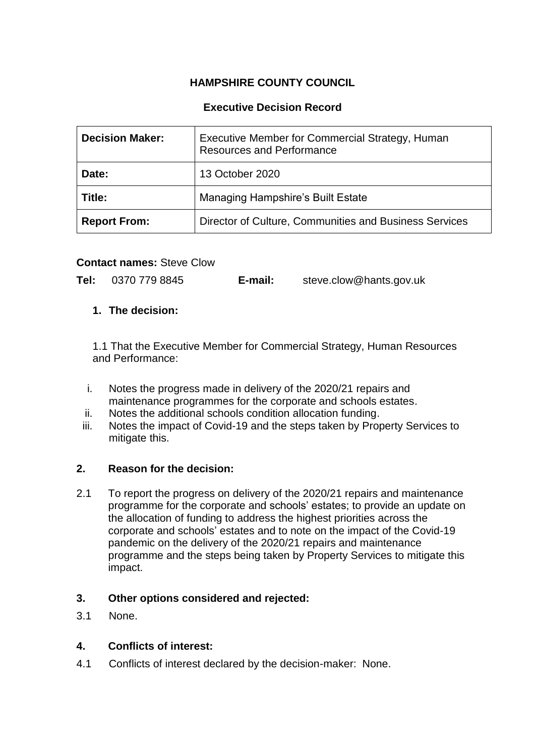# **HAMPSHIRE COUNTY COUNCIL**

## **Executive Decision Record**

| <b>Decision Maker:</b> | Executive Member for Commercial Strategy, Human<br><b>Resources and Performance</b> |
|------------------------|-------------------------------------------------------------------------------------|
| Date:                  | 13 October 2020                                                                     |
| Title:                 | <b>Managing Hampshire's Built Estate</b>                                            |
| <b>Report From:</b>    | Director of Culture, Communities and Business Services                              |

#### **Contact names:** Steve Clow

**Tel:** 0370 779 8845 **E-mail:** steve.clow@hants.gov.uk

## **1. The decision:**

1.1 That the Executive Member for Commercial Strategy, Human Resources and Performance:

- i. Notes the progress made in delivery of the 2020/21 repairs and maintenance programmes for the corporate and schools estates.
- ii. Notes the additional schools condition allocation funding.
- iii. Notes the impact of Covid-19 and the steps taken by Property Services to mitigate this.

#### **2. Reason for the decision:**

2.1 To report the progress on delivery of the 2020/21 repairs and maintenance programme for the corporate and schools' estates; to provide an update on the allocation of funding to address the highest priorities across the corporate and schools' estates and to note on the impact of the Covid-19 pandemic on the delivery of the 2020/21 repairs and maintenance programme and the steps being taken by Property Services to mitigate this impact.

## **3. Other options considered and rejected:**

3.1 None.

## **4. Conflicts of interest:**

4.1 Conflicts of interest declared by the decision-maker: None.